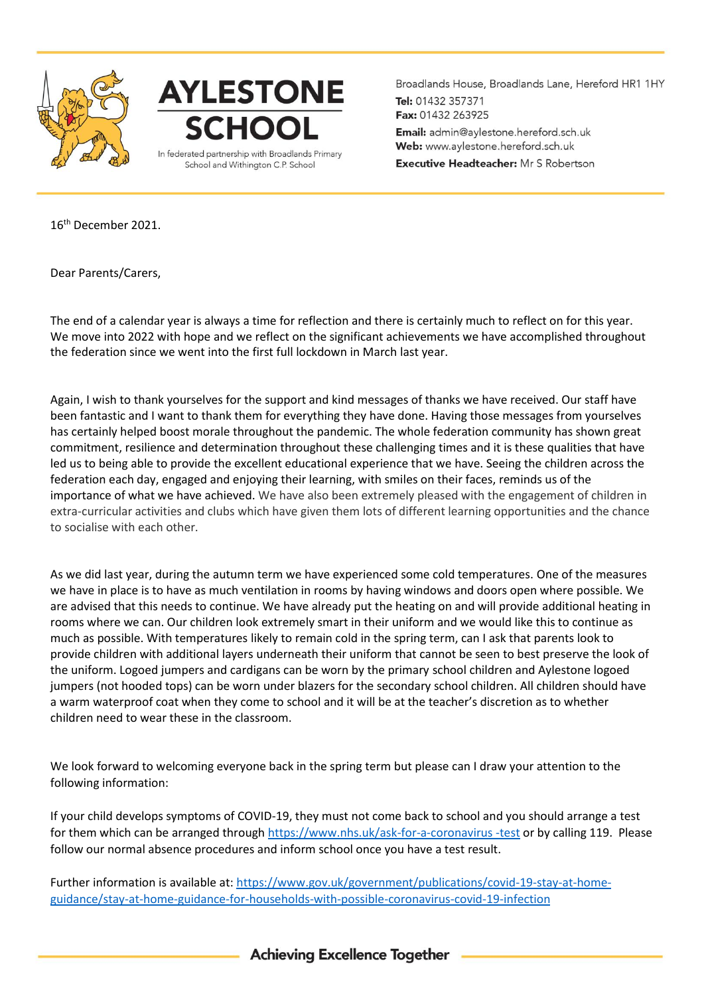



Broadlands House, Broadlands Lane, Hereford HR1 1HY Tel: 01432 357371 Fax: 01432 263925 Email: admin@aylestone.hereford.sch.uk Web: www.aylestone.hereford.sch.uk **Executive Headteacher:** Mr S Robertson

16th December 2021.

Dear Parents/Carers,

The end of a calendar year is always a time for reflection and there is certainly much to reflect on for this year. We move into 2022 with hope and we reflect on the significant achievements we have accomplished throughout the federation since we went into the first full lockdown in March last year.

Again, I wish to thank yourselves for the support and kind messages of thanks we have received. Our staff have been fantastic and I want to thank them for everything they have done. Having those messages from yourselves has certainly helped boost morale throughout the pandemic. The whole federation community has shown great commitment, resilience and determination throughout these challenging times and it is these qualities that have led us to being able to provide the excellent educational experience that we have. Seeing the children across the federation each day, engaged and enjoying their learning, with smiles on their faces, reminds us of the importance of what we have achieved. We have also been extremely pleased with the engagement of children in extra-curricular activities and clubs which have given them lots of different learning opportunities and the chance to socialise with each other.

As we did last year, during the autumn term we have experienced some cold temperatures. One of the measures we have in place is to have as much ventilation in rooms by having windows and doors open where possible. We are advised that this needs to continue. We have already put the heating on and will provide additional heating in rooms where we can. Our children look extremely smart in their uniform and we would like this to continue as much as possible. With temperatures likely to remain cold in the spring term, can I ask that parents look to provide children with additional layers underneath their uniform that cannot be seen to best preserve the look of the uniform. Logoed jumpers and cardigans can be worn by the primary school children and Aylestone logoed jumpers (not hooded tops) can be worn under blazers for the secondary school children. All children should have a warm waterproof coat when they come to school and it will be at the teacher's discretion as to whether children need to wear these in the classroom.

We look forward to welcoming everyone back in the spring term but please can I draw your attention to the following information:

If your child develops symptoms of COVID-19, they must not come back to school and you should arrange a test for them which can be arranged throug[h https://www.nhs.uk/ask-for-a-coronavirus -test](https://www.nhs.uk/ask-for-a-coronavirus%20-test) or by calling 119. Please follow our normal absence procedures and inform school once you have a test result.

Further information is available at: [https://www.gov.uk/government/publications/covid-19-stay-at-home](https://www.gov.uk/government/publications/covid-19-stay-at-home-guidance/stay-at-home-guidance-for-households-with-possible-coronavirus-covid-19-infection)[guidance/stay-at-home-guidance-for-households-with-possible-coronavirus-covid-19-infection](https://www.gov.uk/government/publications/covid-19-stay-at-home-guidance/stay-at-home-guidance-for-households-with-possible-coronavirus-covid-19-infection)